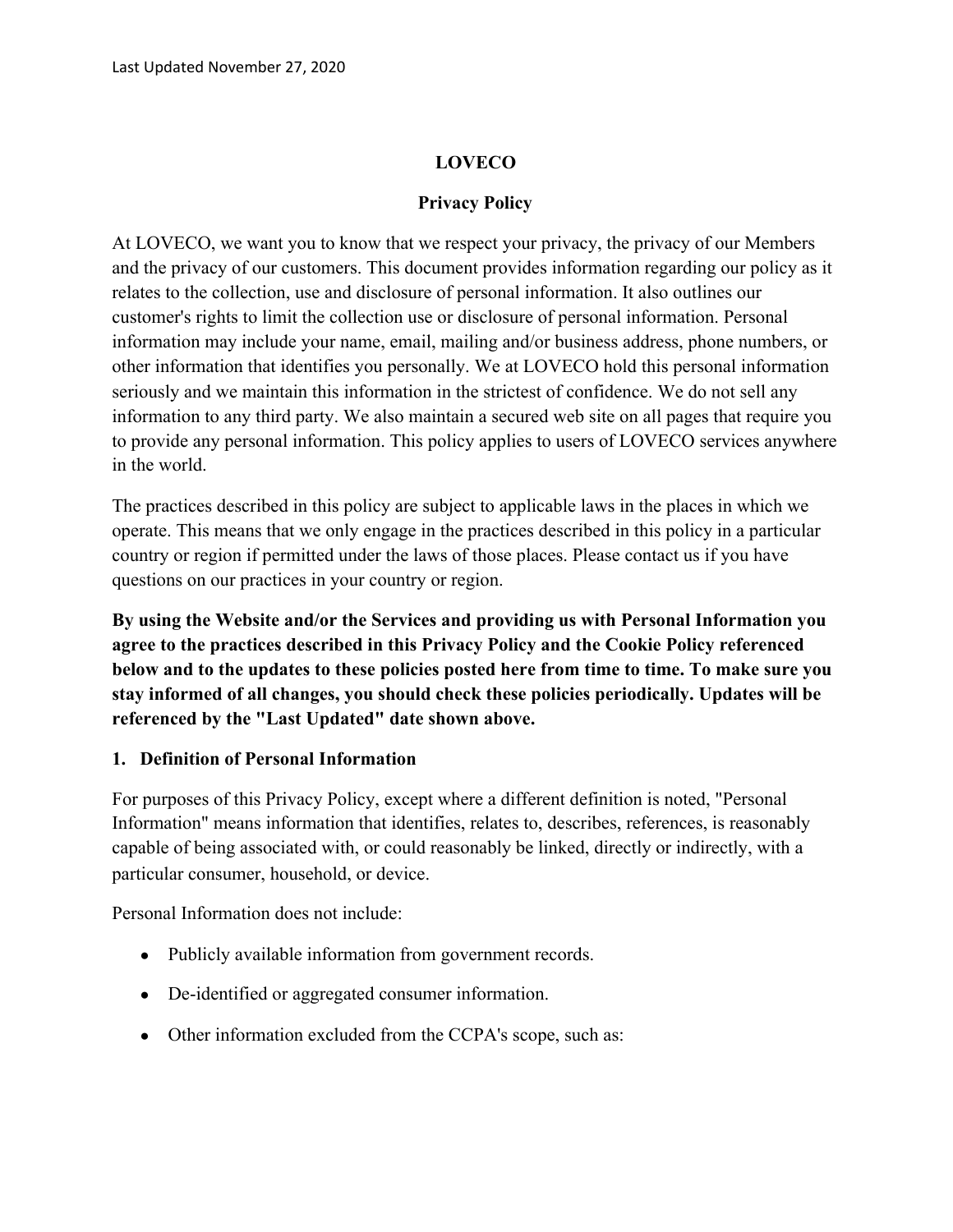# **LOVECO**

### **Privacy Policy**

At LOVECO, we want you to know that we respect your privacy, the privacy of our Members and the privacy of our customers. This document provides information regarding our policy as it relates to the collection, use and disclosure of personal information. It also outlines our customer's rights to limit the collection use or disclosure of personal information. Personal information may include your name, email, mailing and/or business address, phone numbers, or other information that identifies you personally. We at LOVECO hold this personal information seriously and we maintain this information in the strictest of confidence. We do not sell any information to any third party. We also maintain a secured web site on all pages that require you to provide any personal information. This policy applies to users of LOVECO services anywhere in the world.

The practices described in this policy are subject to applicable laws in the places in which we operate. This means that we only engage in the practices described in this policy in a particular country or region if permitted under the laws of those places. Please contact us if you have questions on our practices in your country or region.

**By using the Website and/or the Services and providing us with Personal Information you agree to the practices described in this Privacy Policy and the Cookie Policy referenced below and to the updates to these policies posted here from time to time. To make sure you stay informed of all changes, you should check these policies periodically. Updates will be referenced by the "Last Updated" date shown above.**

### **1. Definition of Personal Information**

For purposes of this Privacy Policy, except where a different definition is noted, "Personal Information" means information that identifies, relates to, describes, references, is reasonably capable of being associated with, or could reasonably be linked, directly or indirectly, with a particular consumer, household, or device.

Personal Information does not include:

- Publicly available information from government records.
- De-identified or aggregated consumer information.
- Other information excluded from the CCPA's scope, such as: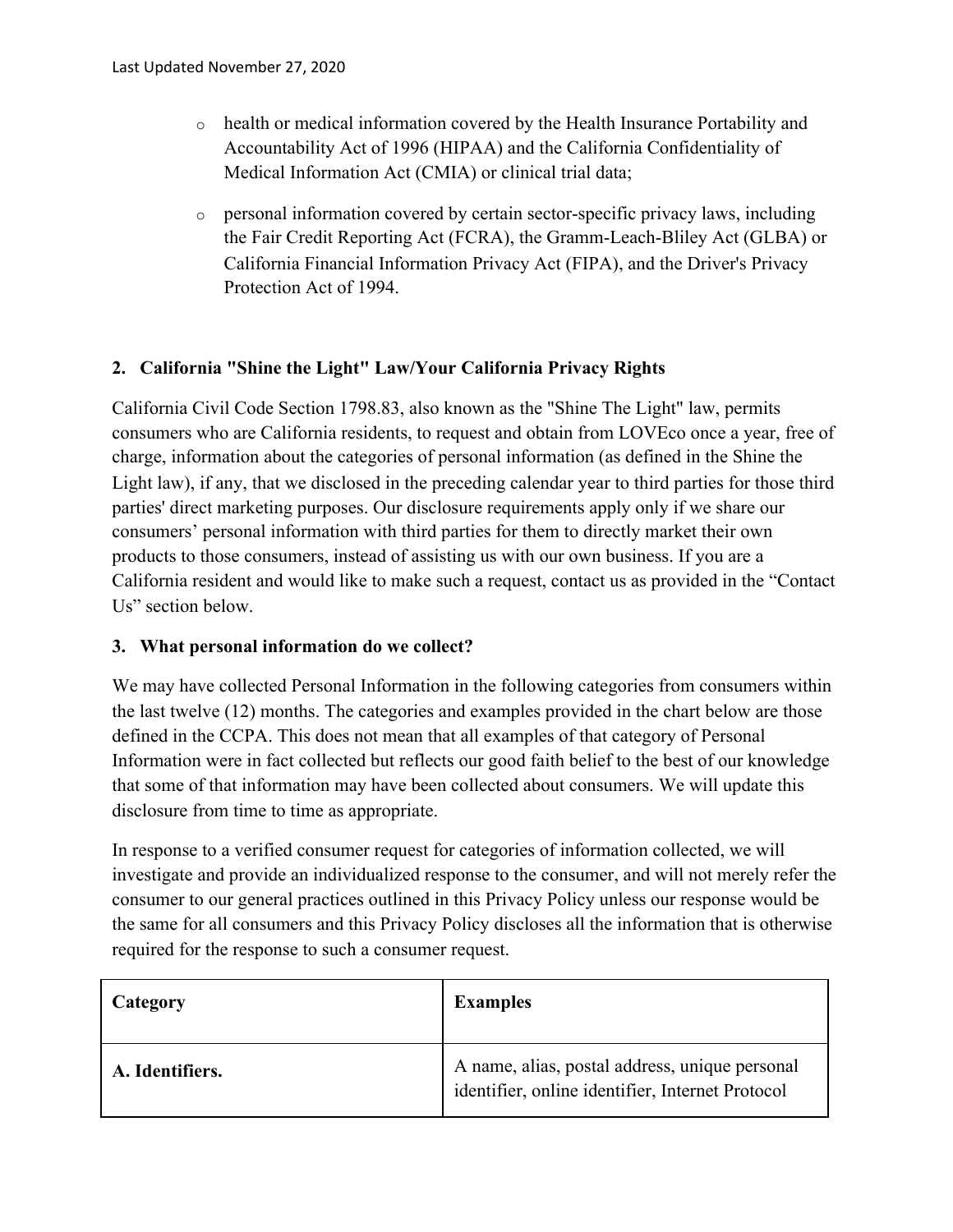- o health or medical information covered by the Health Insurance Portability and Accountability Act of 1996 (HIPAA) and the California Confidentiality of Medical Information Act (CMIA) or clinical trial data;
- o personal information covered by certain sector-specific privacy laws, including the Fair Credit Reporting Act (FCRA), the Gramm-Leach-Bliley Act (GLBA) or California Financial Information Privacy Act (FIPA), and the Driver's Privacy Protection Act of 1994.

### **2. California "Shine the Light" Law/Your California Privacy Rights**

California Civil Code Section 1798.83, also known as the "Shine The Light" law, permits consumers who are California residents, to request and obtain from LOVEco once a year, free of charge, information about the categories of personal information (as defined in the Shine the Light law), if any, that we disclosed in the preceding calendar year to third parties for those third parties' direct marketing purposes. Our disclosure requirements apply only if we share our consumers' personal information with third parties for them to directly market their own products to those consumers, instead of assisting us with our own business. If you are a California resident and would like to make such a request, contact us as provided in the "Contact Us" section below.

### **3. What personal information do we collect?**

We may have collected Personal Information in the following categories from consumers within the last twelve (12) months. The categories and examples provided in the chart below are those defined in the CCPA. This does not mean that all examples of that category of Personal Information were in fact collected but reflects our good faith belief to the best of our knowledge that some of that information may have been collected about consumers. We will update this disclosure from time to time as appropriate.

In response to a verified consumer request for categories of information collected, we will investigate and provide an individualized response to the consumer, and will not merely refer the consumer to our general practices outlined in this Privacy Policy unless our response would be the same for all consumers and this Privacy Policy discloses all the information that is otherwise required for the response to such a consumer request.

| Category        | <b>Examples</b>                                                                                    |
|-----------------|----------------------------------------------------------------------------------------------------|
| A. Identifiers. | A name, alias, postal address, unique personal<br>identifier, online identifier, Internet Protocol |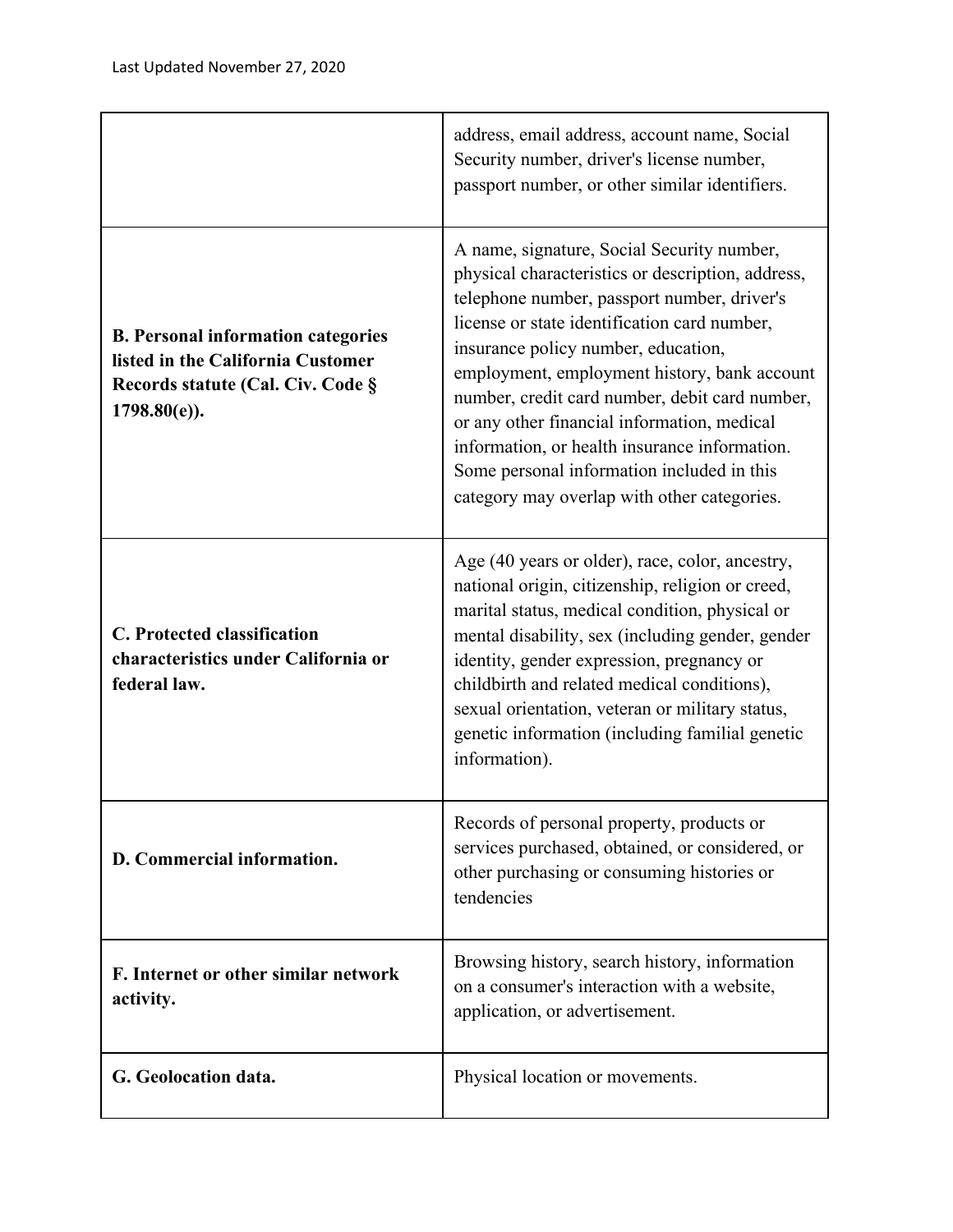|                                                                                                                                        | address, email address, account name, Social<br>Security number, driver's license number,<br>passport number, or other similar identifiers.                                                                                                                                                                                                                                                                                                                                                                                          |
|----------------------------------------------------------------------------------------------------------------------------------------|--------------------------------------------------------------------------------------------------------------------------------------------------------------------------------------------------------------------------------------------------------------------------------------------------------------------------------------------------------------------------------------------------------------------------------------------------------------------------------------------------------------------------------------|
| <b>B. Personal information categories</b><br>listed in the California Customer<br>Records statute (Cal. Civ. Code §<br>$1798.80(e)$ ). | A name, signature, Social Security number,<br>physical characteristics or description, address,<br>telephone number, passport number, driver's<br>license or state identification card number,<br>insurance policy number, education,<br>employment, employment history, bank account<br>number, credit card number, debit card number,<br>or any other financial information, medical<br>information, or health insurance information.<br>Some personal information included in this<br>category may overlap with other categories. |
| C. Protected classification<br>characteristics under California or<br>federal law.                                                     | Age (40 years or older), race, color, ancestry,<br>national origin, citizenship, religion or creed,<br>marital status, medical condition, physical or<br>mental disability, sex (including gender, gender<br>identity, gender expression, pregnancy or<br>childbirth and related medical conditions),<br>sexual orientation, veteran or military status,<br>genetic information (including familial genetic<br>information).                                                                                                         |
| D. Commercial information.                                                                                                             | Records of personal property, products or<br>services purchased, obtained, or considered, or<br>other purchasing or consuming histories or<br>tendencies                                                                                                                                                                                                                                                                                                                                                                             |
| F. Internet or other similar network<br>activity.                                                                                      | Browsing history, search history, information<br>on a consumer's interaction with a website,<br>application, or advertisement.                                                                                                                                                                                                                                                                                                                                                                                                       |
| G. Geolocation data.                                                                                                                   | Physical location or movements.                                                                                                                                                                                                                                                                                                                                                                                                                                                                                                      |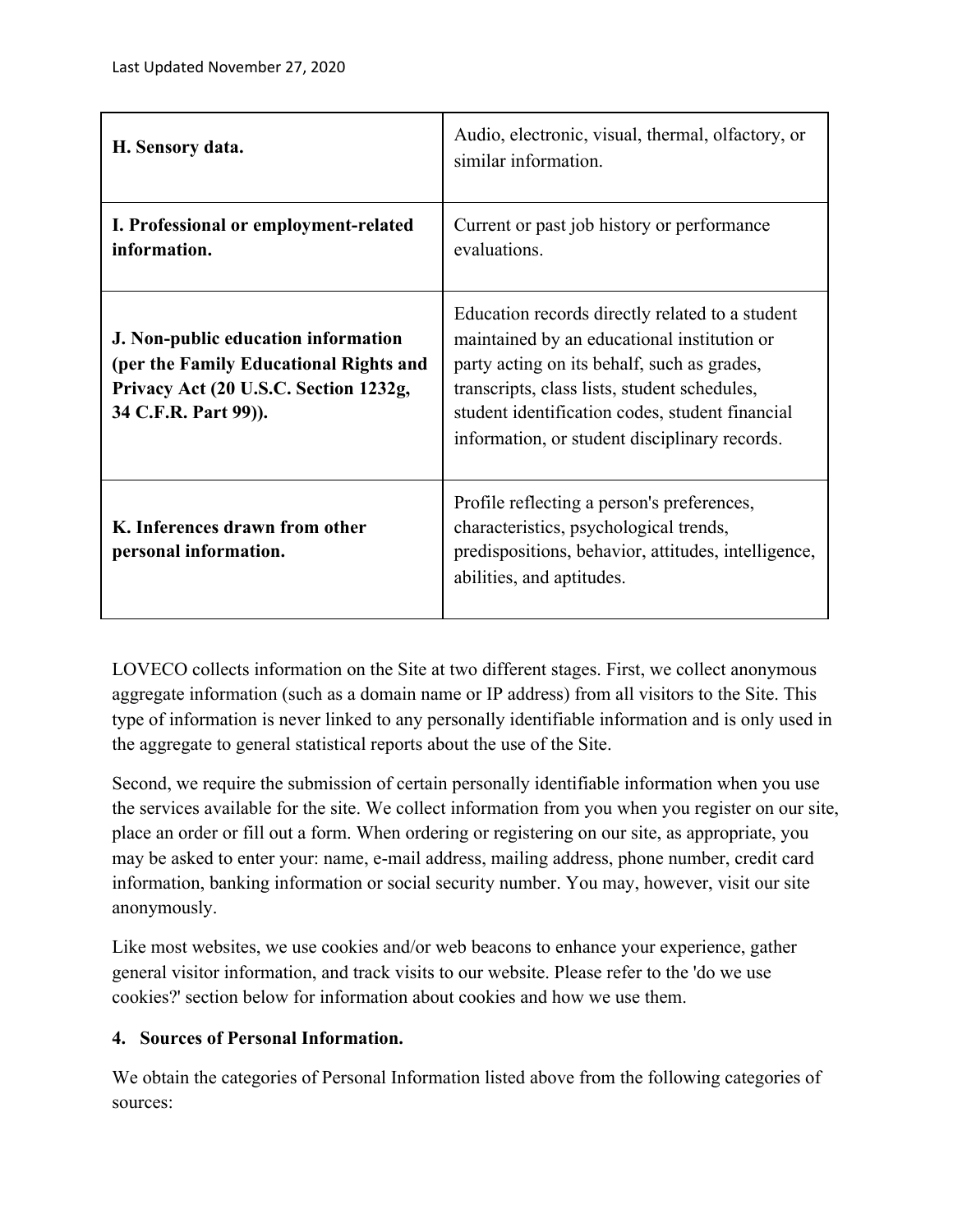| H. Sensory data.                                                                                                                               | Audio, electronic, visual, thermal, olfactory, or<br>similar information.                                                                                                                                                                                                                         |
|------------------------------------------------------------------------------------------------------------------------------------------------|---------------------------------------------------------------------------------------------------------------------------------------------------------------------------------------------------------------------------------------------------------------------------------------------------|
| I. Professional or employment-related<br>information.                                                                                          | Current or past job history or performance<br>evaluations.                                                                                                                                                                                                                                        |
| J. Non-public education information<br>(per the Family Educational Rights and<br>Privacy Act (20 U.S.C. Section 1232g,<br>34 C.F.R. Part 99)). | Education records directly related to a student<br>maintained by an educational institution or<br>party acting on its behalf, such as grades,<br>transcripts, class lists, student schedules,<br>student identification codes, student financial<br>information, or student disciplinary records. |
| K. Inferences drawn from other<br>personal information.                                                                                        | Profile reflecting a person's preferences,<br>characteristics, psychological trends,<br>predispositions, behavior, attitudes, intelligence,<br>abilities, and aptitudes.                                                                                                                          |

LOVECO collects information on the Site at two different stages. First, we collect anonymous aggregate information (such as a domain name or IP address) from all visitors to the Site. This type of information is never linked to any personally identifiable information and is only used in the aggregate to general statistical reports about the use of the Site.

Second, we require the submission of certain personally identifiable information when you use the services available for the site. We collect information from you when you register on our site, place an order or fill out a form. When ordering or registering on our site, as appropriate, you may be asked to enter your: name, e-mail address, mailing address, phone number, credit card information, banking information or social security number. You may, however, visit our site anonymously.

Like most websites, we use cookies and/or web beacons to enhance your experience, gather general visitor information, and track visits to our website. Please refer to the 'do we use cookies?' section below for information about cookies and how we use them.

### **4. Sources of Personal Information.**

We obtain the categories of Personal Information listed above from the following categories of sources: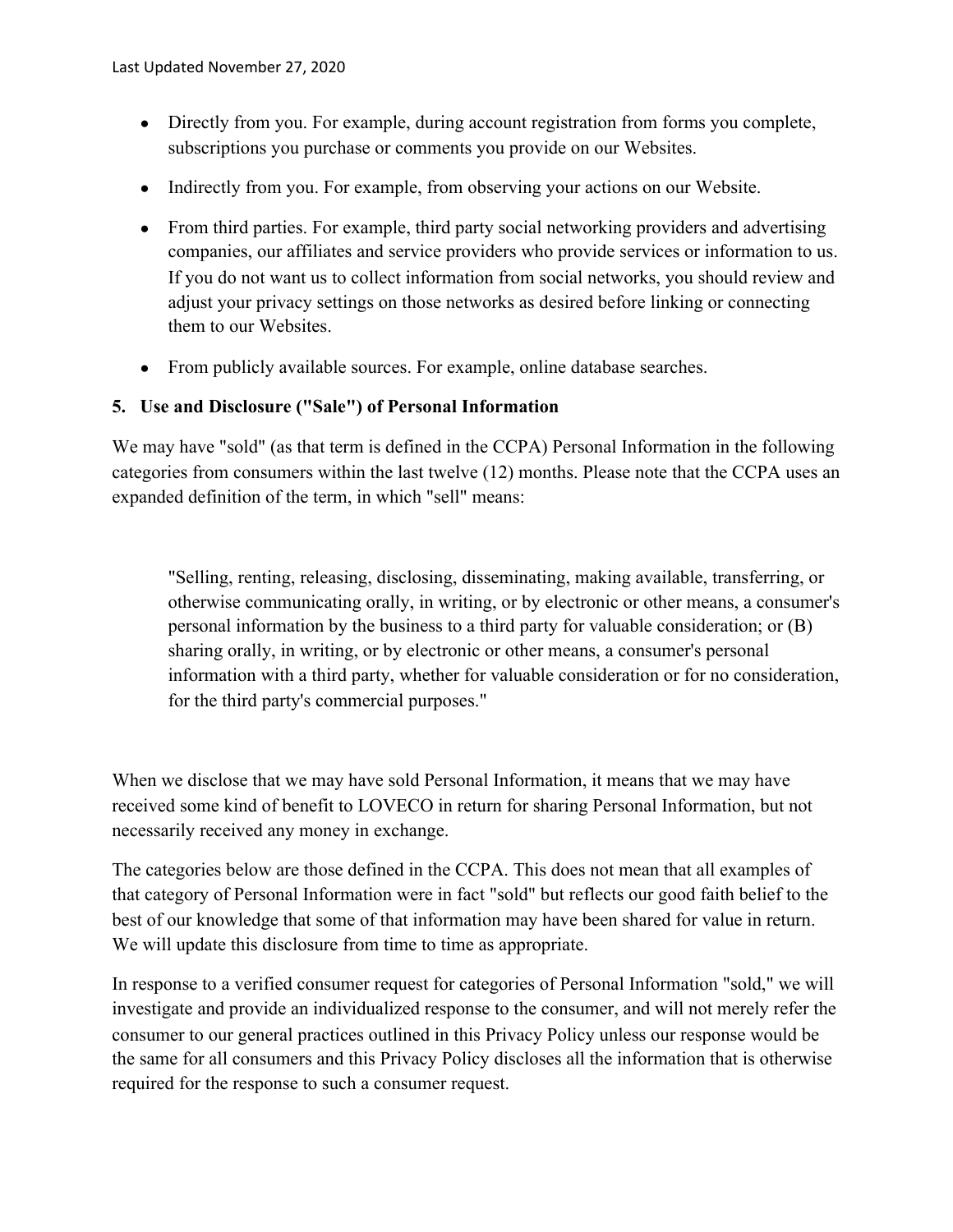- Directly from you. For example, during account registration from forms you complete, subscriptions you purchase or comments you provide on our Websites.
- Indirectly from you. For example, from observing your actions on our Website.
- From third parties. For example, third party social networking providers and advertising companies, our affiliates and service providers who provide services or information to us. If you do not want us to collect information from social networks, you should review and adjust your privacy settings on those networks as desired before linking or connecting them to our Websites.
- From publicly available sources. For example, online database searches.

# **5. Use and Disclosure ("Sale") of Personal Information**

We may have "sold" (as that term is defined in the CCPA) Personal Information in the following categories from consumers within the last twelve (12) months. Please note that the CCPA uses an expanded definition of the term, in which "sell" means:

"Selling, renting, releasing, disclosing, disseminating, making available, transferring, or otherwise communicating orally, in writing, or by electronic or other means, a consumer's personal information by the business to a third party for valuable consideration; or (B) sharing orally, in writing, or by electronic or other means, a consumer's personal information with a third party, whether for valuable consideration or for no consideration, for the third party's commercial purposes."

When we disclose that we may have sold Personal Information, it means that we may have received some kind of benefit to LOVECO in return for sharing Personal Information, but not necessarily received any money in exchange.

The categories below are those defined in the CCPA. This does not mean that all examples of that category of Personal Information were in fact "sold" but reflects our good faith belief to the best of our knowledge that some of that information may have been shared for value in return. We will update this disclosure from time to time as appropriate.

In response to a verified consumer request for categories of Personal Information "sold," we will investigate and provide an individualized response to the consumer, and will not merely refer the consumer to our general practices outlined in this Privacy Policy unless our response would be the same for all consumers and this Privacy Policy discloses all the information that is otherwise required for the response to such a consumer request.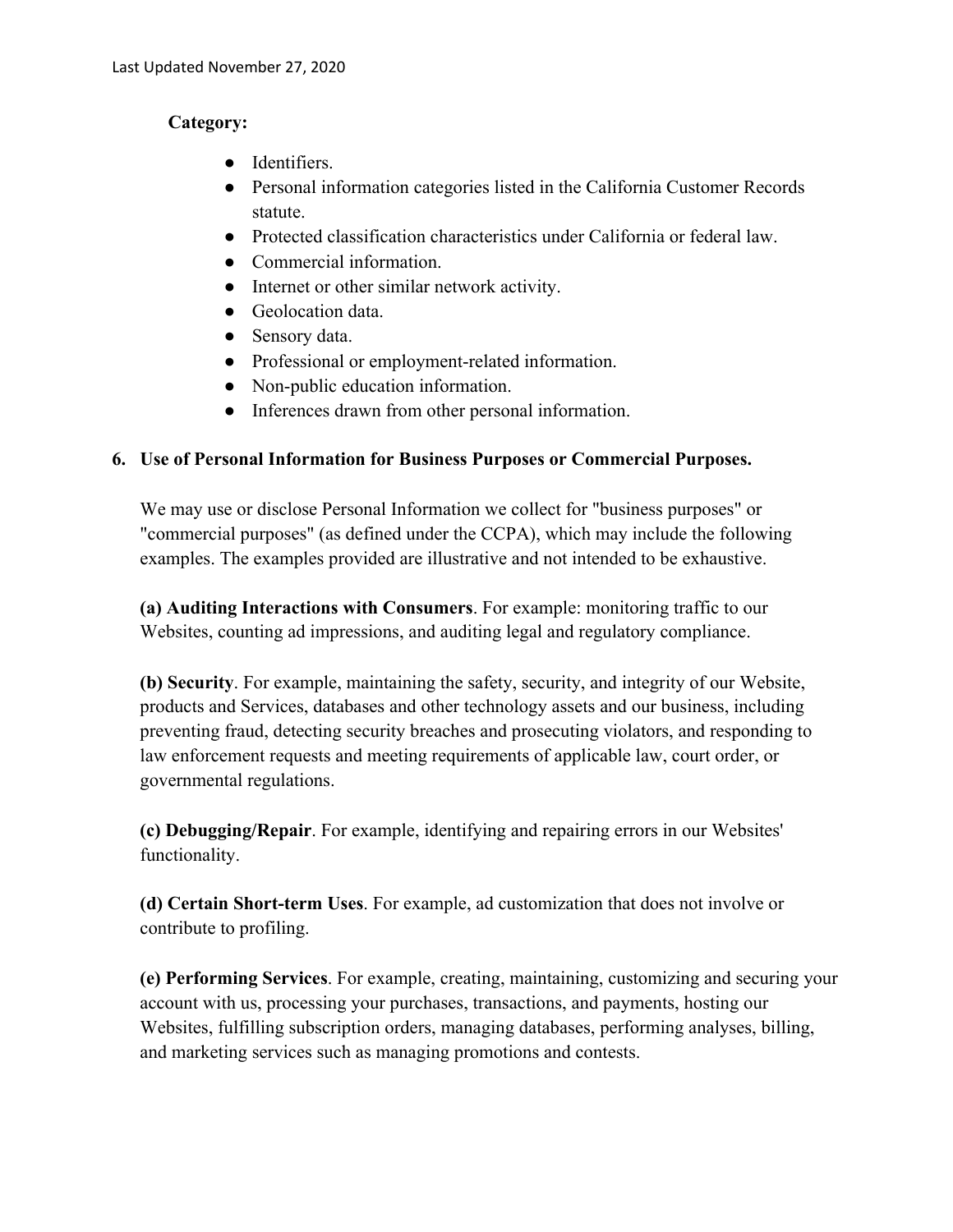### **Category:**

- Identifiers.
- Personal information categories listed in the California Customer Records statute.
- Protected classification characteristics under California or federal law.
- Commercial information.
- Internet or other similar network activity.
- Geolocation data.
- Sensory data.
- Professional or employment-related information.
- Non-public education information.
- Inferences drawn from other personal information.

### **6. Use of Personal Information for Business Purposes or Commercial Purposes.**

We may use or disclose Personal Information we collect for "business purposes" or "commercial purposes" (as defined under the CCPA), which may include the following examples. The examples provided are illustrative and not intended to be exhaustive.

**(a) Auditing Interactions with Consumers**. For example: monitoring traffic to our Websites, counting ad impressions, and auditing legal and regulatory compliance.

**(b) Security**. For example, maintaining the safety, security, and integrity of our Website, products and Services, databases and other technology assets and our business, including preventing fraud, detecting security breaches and prosecuting violators, and responding to law enforcement requests and meeting requirements of applicable law, court order, or governmental regulations.

**(c) Debugging/Repair**. For example, identifying and repairing errors in our Websites' functionality.

**(d) Certain Short-term Uses**. For example, ad customization that does not involve or contribute to profiling.

**(e) Performing Services**. For example, creating, maintaining, customizing and securing your account with us, processing your purchases, transactions, and payments, hosting our Websites, fulfilling subscription orders, managing databases, performing analyses, billing, and marketing services such as managing promotions and contests.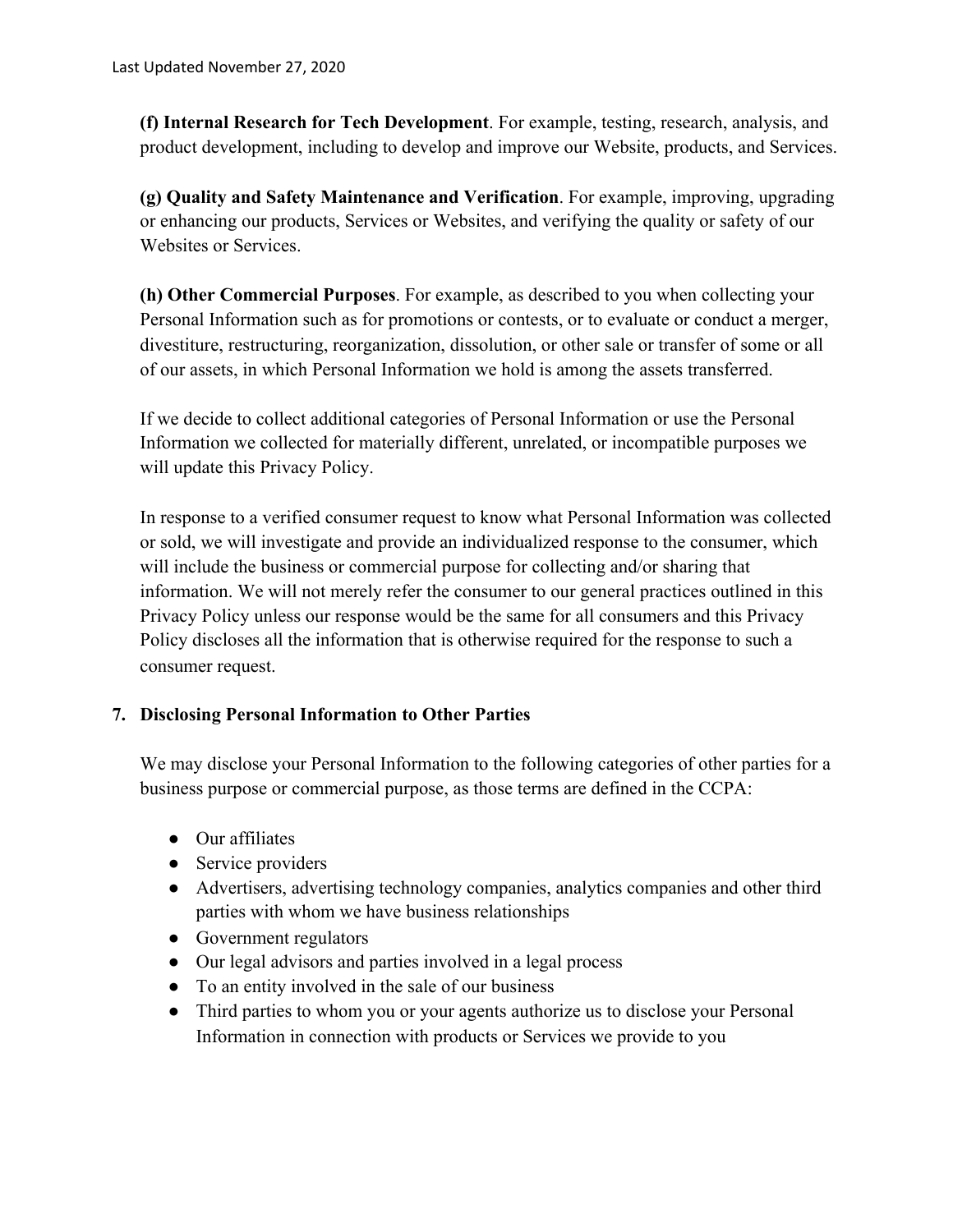**(f) Internal Research for Tech Development**. For example, testing, research, analysis, and product development, including to develop and improve our Website, products, and Services.

**(g) Quality and Safety Maintenance and Verification**. For example, improving, upgrading or enhancing our products, Services or Websites, and verifying the quality or safety of our Websites or Services.

**(h) Other Commercial Purposes**. For example, as described to you when collecting your Personal Information such as for promotions or contests, or to evaluate or conduct a merger, divestiture, restructuring, reorganization, dissolution, or other sale or transfer of some or all of our assets, in which Personal Information we hold is among the assets transferred.

If we decide to collect additional categories of Personal Information or use the Personal Information we collected for materially different, unrelated, or incompatible purposes we will update this Privacy Policy.

In response to a verified consumer request to know what Personal Information was collected or sold, we will investigate and provide an individualized response to the consumer, which will include the business or commercial purpose for collecting and/or sharing that information. We will not merely refer the consumer to our general practices outlined in this Privacy Policy unless our response would be the same for all consumers and this Privacy Policy discloses all the information that is otherwise required for the response to such a consumer request.

# **7. Disclosing Personal Information to Other Parties**

We may disclose your Personal Information to the following categories of other parties for a business purpose or commercial purpose, as those terms are defined in the CCPA:

- Our affiliates
- Service providers
- Advertisers, advertising technology companies, analytics companies and other third parties with whom we have business relationships
- Government regulators
- Our legal advisors and parties involved in a legal process
- To an entity involved in the sale of our business
- Third parties to whom you or your agents authorize us to disclose your Personal Information in connection with products or Services we provide to you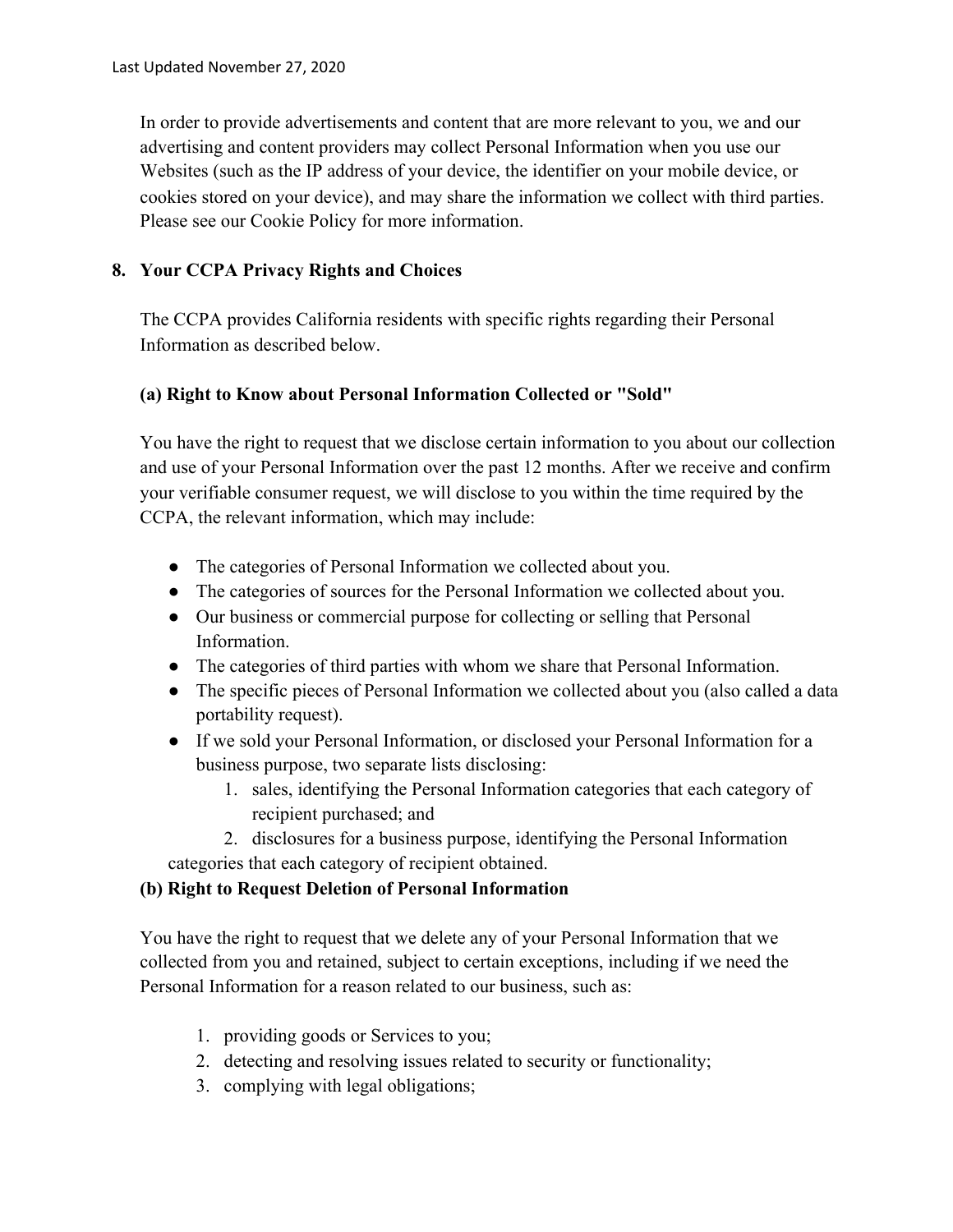In order to provide advertisements and content that are more relevant to you, we and our advertising and content providers may collect Personal Information when you use our Websites (such as the IP address of your device, the identifier on your mobile device, or cookies stored on your device), and may share the information we collect with third parties. Please see our Cookie Policy for more information.

# **8. Your CCPA Privacy Rights and Choices**

The CCPA provides California residents with specific rights regarding their Personal Information as described below.

# **(a) Right to Know about Personal Information Collected or "Sold"**

You have the right to request that we disclose certain information to you about our collection and use of your Personal Information over the past 12 months. After we receive and confirm your verifiable consumer request, we will disclose to you within the time required by the CCPA, the relevant information, which may include:

- The categories of Personal Information we collected about you.
- The categories of sources for the Personal Information we collected about you.
- Our business or commercial purpose for collecting or selling that Personal Information.
- The categories of third parties with whom we share that Personal Information.
- The specific pieces of Personal Information we collected about you (also called a data portability request).
- If we sold your Personal Information, or disclosed your Personal Information for a business purpose, two separate lists disclosing:
	- 1. sales, identifying the Personal Information categories that each category of recipient purchased; and

2. disclosures for a business purpose, identifying the Personal Information categories that each category of recipient obtained.

# **(b) Right to Request Deletion of Personal Information**

You have the right to request that we delete any of your Personal Information that we collected from you and retained, subject to certain exceptions, including if we need the Personal Information for a reason related to our business, such as:

- 1. providing goods or Services to you;
- 2. detecting and resolving issues related to security or functionality;
- 3. complying with legal obligations;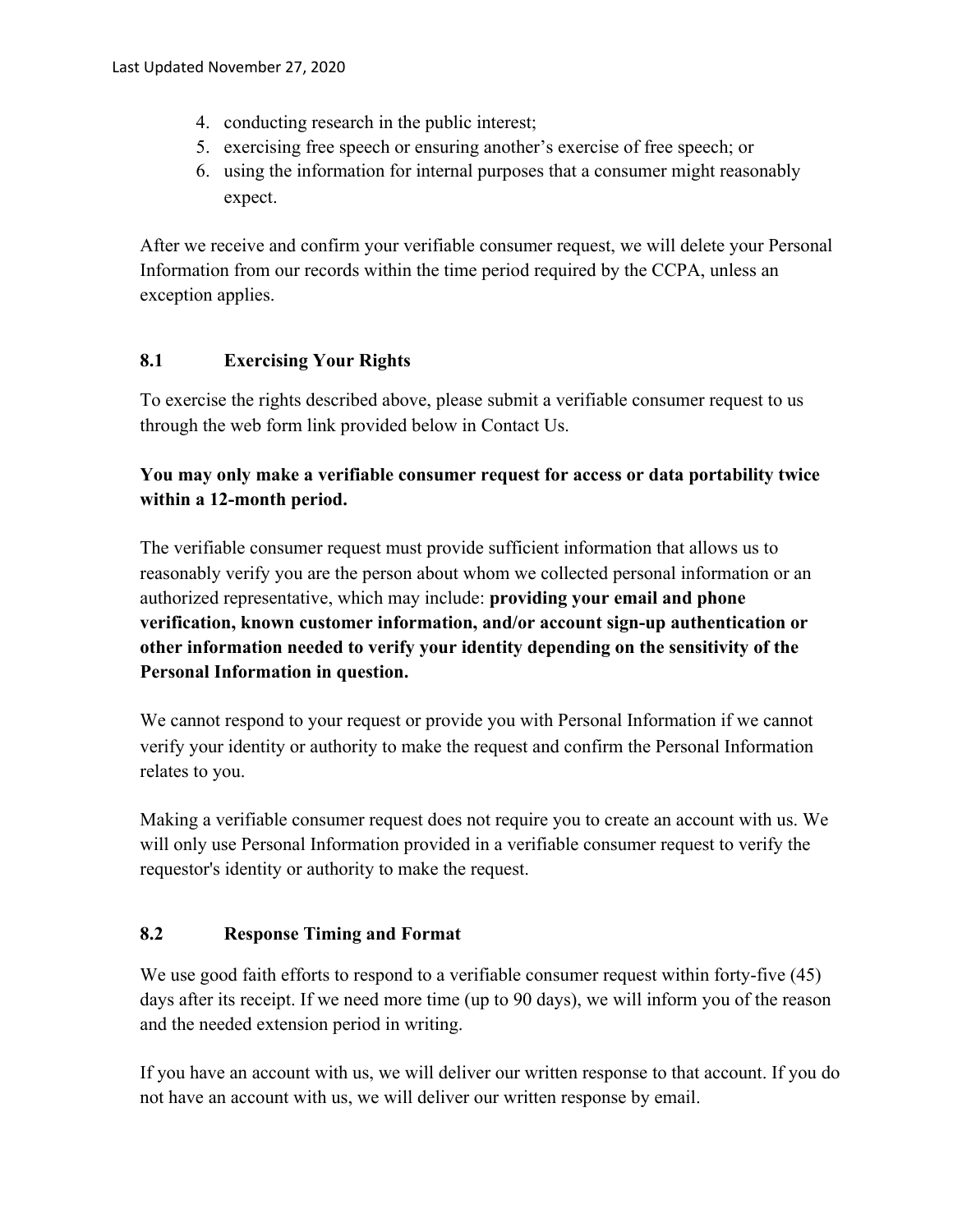- 4. conducting research in the public interest;
- 5. exercising free speech or ensuring another's exercise of free speech; or
- 6. using the information for internal purposes that a consumer might reasonably expect.

After we receive and confirm your verifiable consumer request, we will delete your Personal Information from our records within the time period required by the CCPA, unless an exception applies.

# **8.1 Exercising Your Rights**

To exercise the rights described above, please submit a verifiable consumer request to us through the web form link provided below in Contact Us.

# **You may only make a verifiable consumer request for access or data portability twice within a 12-month period.**

The verifiable consumer request must provide sufficient information that allows us to reasonably verify you are the person about whom we collected personal information or an authorized representative, which may include: **providing your email and phone verification, known customer information, and/or account sign-up authentication or other information needed to verify your identity depending on the sensitivity of the Personal Information in question.**

We cannot respond to your request or provide you with Personal Information if we cannot verify your identity or authority to make the request and confirm the Personal Information relates to you.

Making a verifiable consumer request does not require you to create an account with us. We will only use Personal Information provided in a verifiable consumer request to verify the requestor's identity or authority to make the request.

# **8.2 Response Timing and Format**

We use good faith efforts to respond to a verifiable consumer request within forty-five (45) days after its receipt. If we need more time (up to 90 days), we will inform you of the reason and the needed extension period in writing.

If you have an account with us, we will deliver our written response to that account. If you do not have an account with us, we will deliver our written response by email.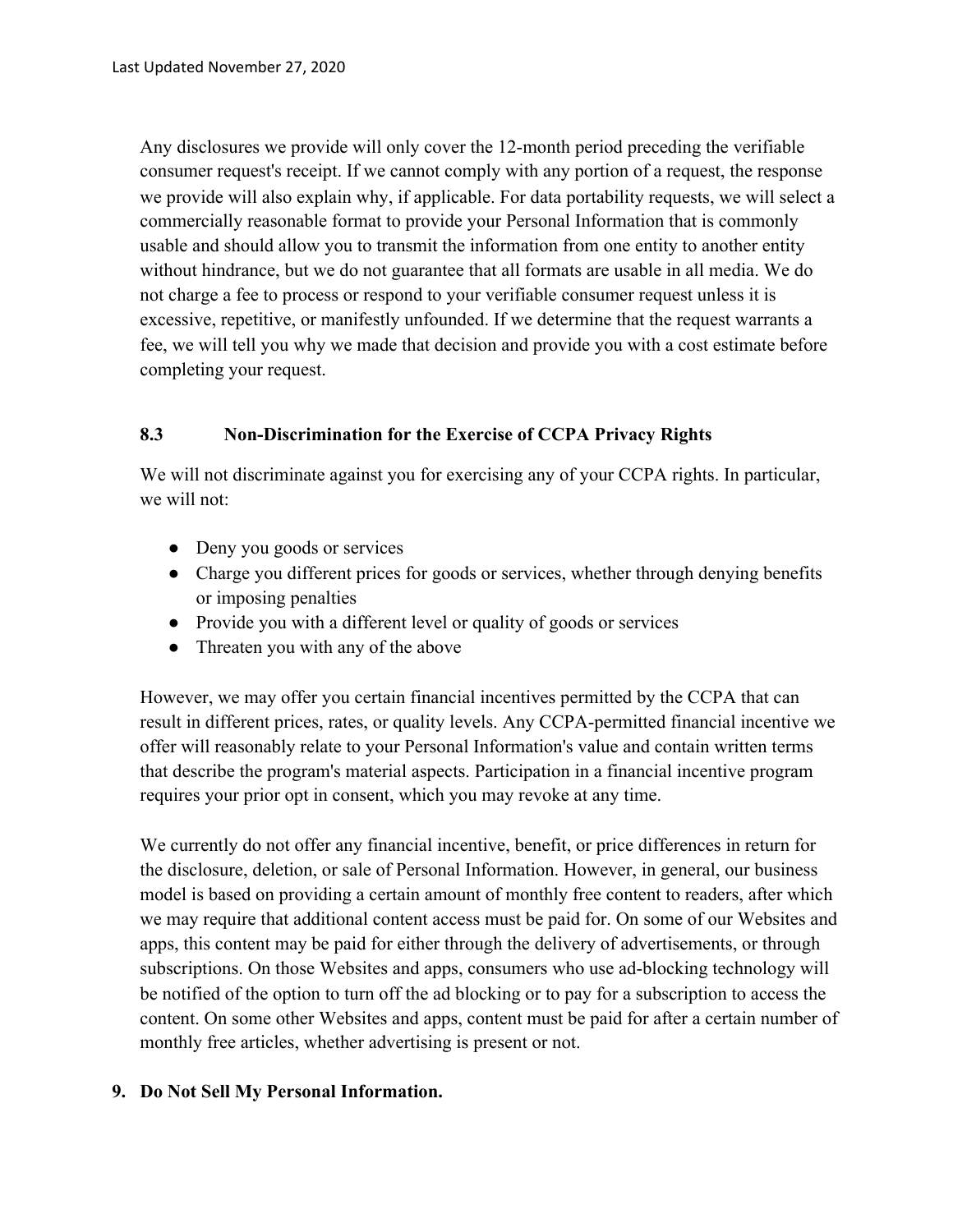Any disclosures we provide will only cover the 12-month period preceding the verifiable consumer request's receipt. If we cannot comply with any portion of a request, the response we provide will also explain why, if applicable. For data portability requests, we will select a commercially reasonable format to provide your Personal Information that is commonly usable and should allow you to transmit the information from one entity to another entity without hindrance, but we do not guarantee that all formats are usable in all media. We do not charge a fee to process or respond to your verifiable consumer request unless it is excessive, repetitive, or manifestly unfounded. If we determine that the request warrants a fee, we will tell you why we made that decision and provide you with a cost estimate before completing your request.

## **8.3 Non-Discrimination for the Exercise of CCPA Privacy Rights**

We will not discriminate against you for exercising any of your CCPA rights. In particular, we will not:

- Deny you goods or services
- Charge you different prices for goods or services, whether through denying benefits or imposing penalties
- Provide you with a different level or quality of goods or services
- Threaten you with any of the above

However, we may offer you certain financial incentives permitted by the CCPA that can result in different prices, rates, or quality levels. Any CCPA-permitted financial incentive we offer will reasonably relate to your Personal Information's value and contain written terms that describe the program's material aspects. Participation in a financial incentive program requires your prior opt in consent, which you may revoke at any time.

We currently do not offer any financial incentive, benefit, or price differences in return for the disclosure, deletion, or sale of Personal Information. However, in general, our business model is based on providing a certain amount of monthly free content to readers, after which we may require that additional content access must be paid for. On some of our Websites and apps, this content may be paid for either through the delivery of advertisements, or through subscriptions. On those Websites and apps, consumers who use ad-blocking technology will be notified of the option to turn off the ad blocking or to pay for a subscription to access the content. On some other Websites and apps, content must be paid for after a certain number of monthly free articles, whether advertising is present or not.

### **9. Do Not Sell My Personal Information.**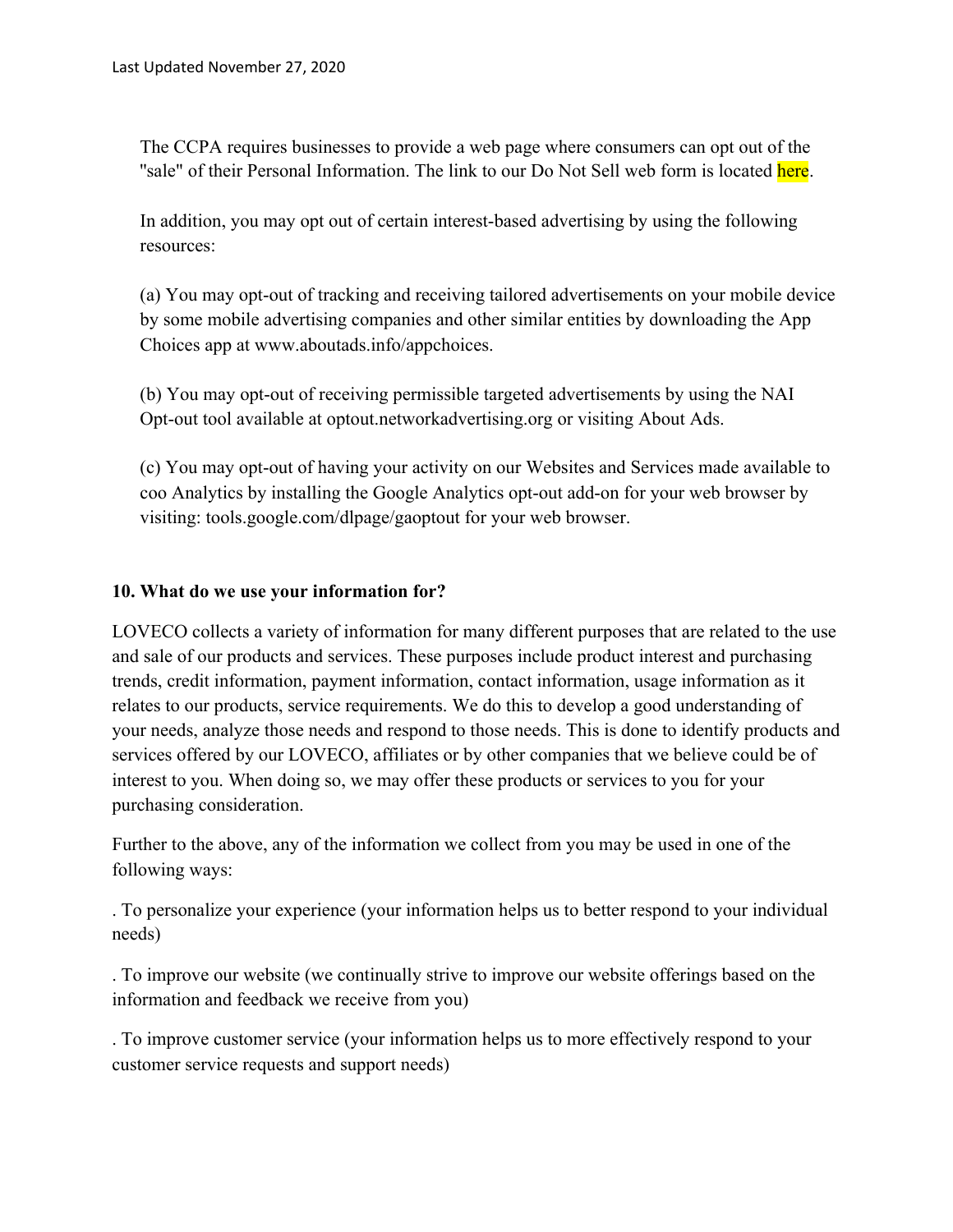The CCPA requires businesses to provide a web page where consumers can opt out of the "sale" of their Personal Information. The link to our Do Not Sell web form is located here.

In addition, you may opt out of certain interest-based advertising by using the following resources:

(a) You may opt-out of tracking and receiving tailored advertisements on your mobile device by some mobile advertising companies and other similar entities by downloading the App Choices app at www.aboutads.info/appchoices.

(b) You may opt-out of receiving permissible targeted advertisements by using the NAI Opt-out tool available at optout.networkadvertising.org or visiting About Ads.

(c) You may opt-out of having your activity on our Websites and Services made available to coo Analytics by installing the Google Analytics opt-out add-on for your web browser by visiting: tools.google.com/dlpage/gaoptout for your web browser.

### **10. What do we use your information for?**

LOVECO collects a variety of information for many different purposes that are related to the use and sale of our products and services. These purposes include product interest and purchasing trends, credit information, payment information, contact information, usage information as it relates to our products, service requirements. We do this to develop a good understanding of your needs, analyze those needs and respond to those needs. This is done to identify products and services offered by our LOVECO, affiliates or by other companies that we believe could be of interest to you. When doing so, we may offer these products or services to you for your purchasing consideration.

Further to the above, any of the information we collect from you may be used in one of the following ways:

. To personalize your experience (your information helps us to better respond to your individual needs)

. To improve our website (we continually strive to improve our website offerings based on the information and feedback we receive from you)

. To improve customer service (your information helps us to more effectively respond to your customer service requests and support needs)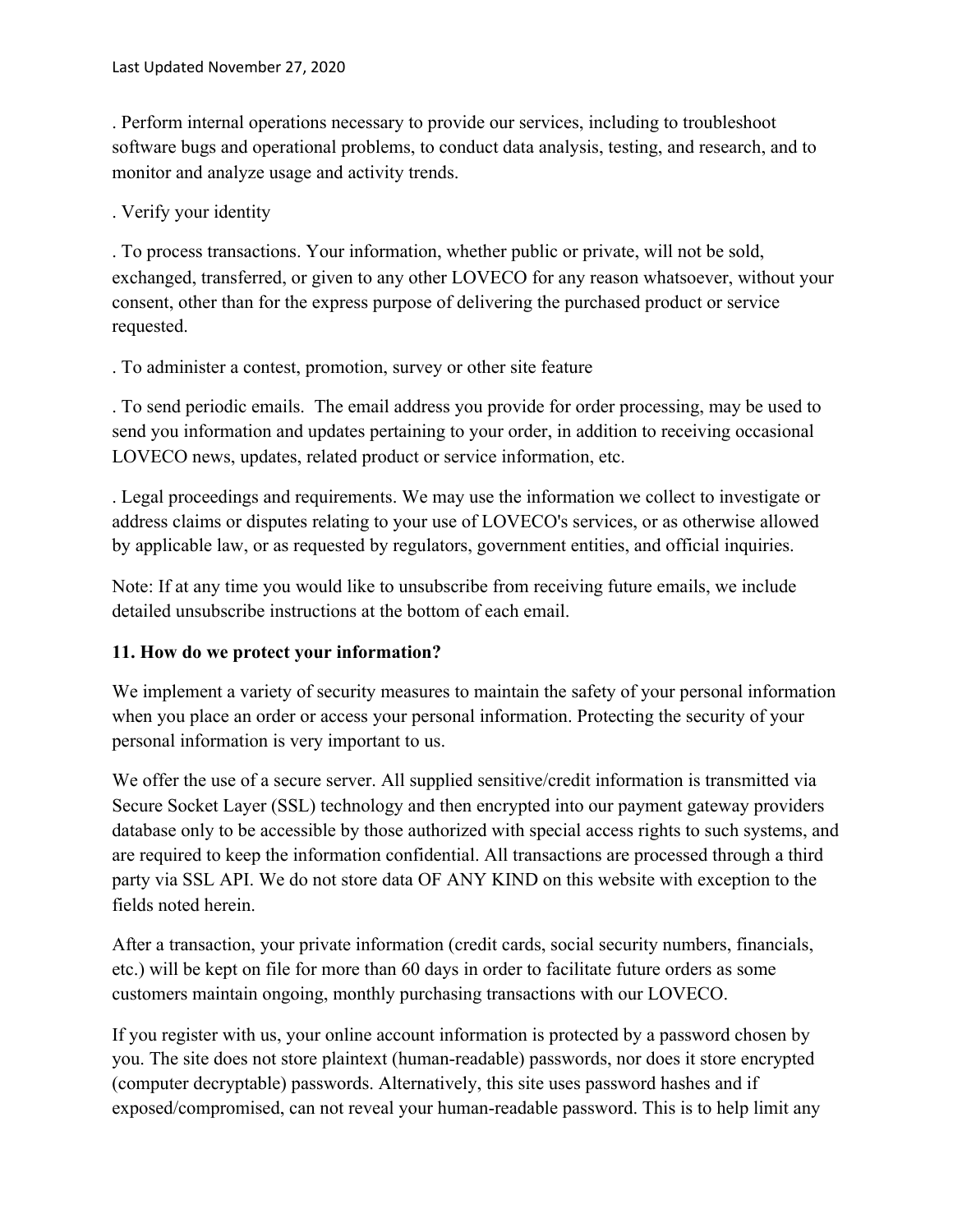. Perform internal operations necessary to provide our services, including to troubleshoot software bugs and operational problems, to conduct data analysis, testing, and research, and to monitor and analyze usage and activity trends.

. Verify your identity

. To process transactions. Your information, whether public or private, will not be sold, exchanged, transferred, or given to any other LOVECO for any reason whatsoever, without your consent, other than for the express purpose of delivering the purchased product or service requested.

. To administer a contest, promotion, survey or other site feature

. To send periodic emails. The email address you provide for order processing, may be used to send you information and updates pertaining to your order, in addition to receiving occasional LOVECO news, updates, related product or service information, etc.

. Legal proceedings and requirements. We may use the information we collect to investigate or address claims or disputes relating to your use of LOVECO's services, or as otherwise allowed by applicable law, or as requested by regulators, government entities, and official inquiries.

Note: If at any time you would like to unsubscribe from receiving future emails, we include detailed unsubscribe instructions at the bottom of each email.

# **11. How do we protect your information?**

We implement a variety of security measures to maintain the safety of your personal information when you place an order or access your personal information. Protecting the security of your personal information is very important to us.

We offer the use of a secure server. All supplied sensitive/credit information is transmitted via Secure Socket Layer (SSL) technology and then encrypted into our payment gateway providers database only to be accessible by those authorized with special access rights to such systems, and are required to keep the information confidential. All transactions are processed through a third party via SSL API. We do not store data OF ANY KIND on this website with exception to the fields noted herein.

After a transaction, your private information (credit cards, social security numbers, financials, etc.) will be kept on file for more than 60 days in order to facilitate future orders as some customers maintain ongoing, monthly purchasing transactions with our LOVECO.

If you register with us, your online account information is protected by a password chosen by you. The site does not store plaintext (human-readable) passwords, nor does it store encrypted (computer decryptable) passwords. Alternatively, this site uses password hashes and if exposed/compromised, can not reveal your human-readable password. This is to help limit any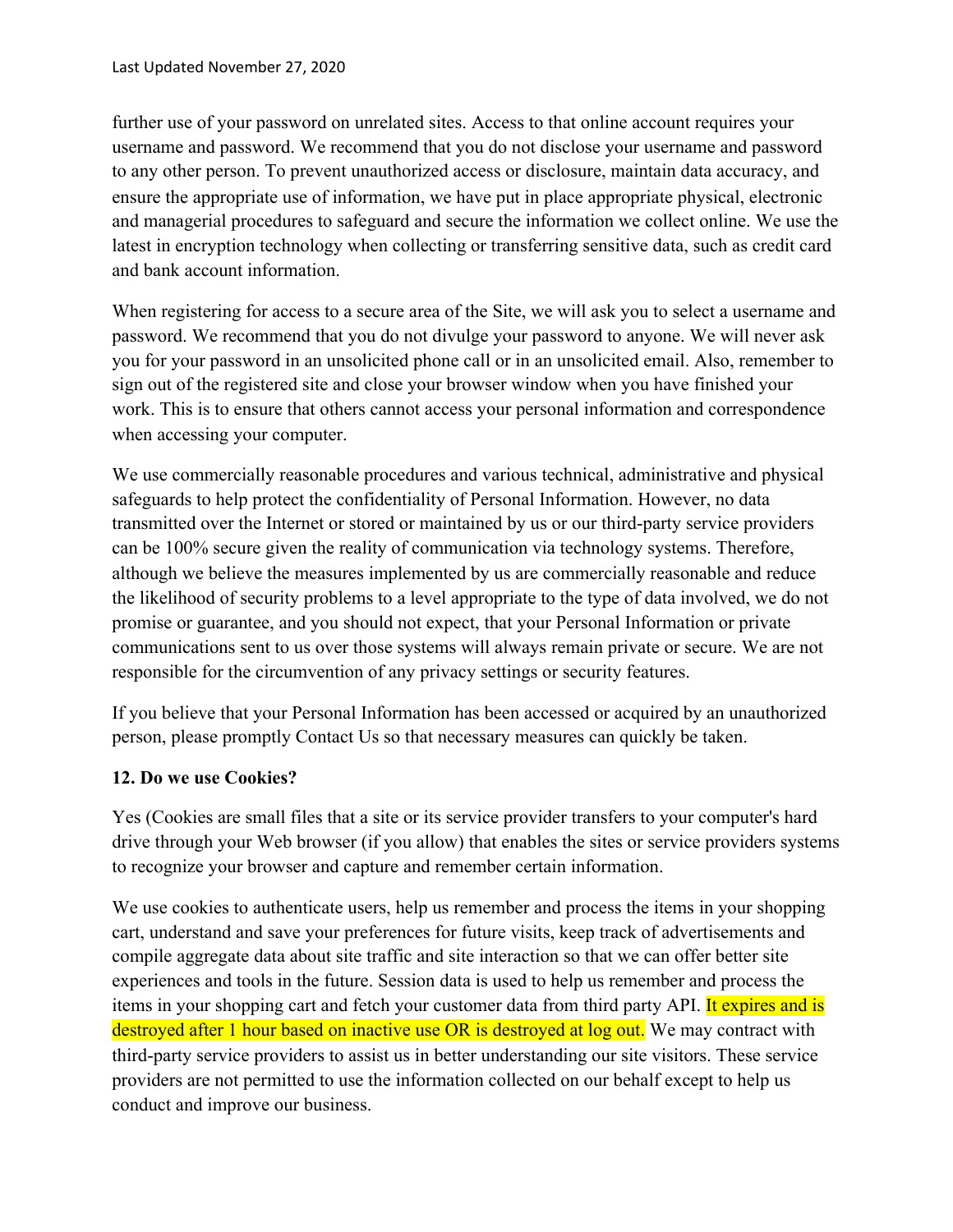further use of your password on unrelated sites. Access to that online account requires your username and password. We recommend that you do not disclose your username and password to any other person. To prevent unauthorized access or disclosure, maintain data accuracy, and ensure the appropriate use of information, we have put in place appropriate physical, electronic and managerial procedures to safeguard and secure the information we collect online. We use the latest in encryption technology when collecting or transferring sensitive data, such as credit card and bank account information.

When registering for access to a secure area of the Site, we will ask you to select a username and password. We recommend that you do not divulge your password to anyone. We will never ask you for your password in an unsolicited phone call or in an unsolicited email. Also, remember to sign out of the registered site and close your browser window when you have finished your work. This is to ensure that others cannot access your personal information and correspondence when accessing your computer.

We use commercially reasonable procedures and various technical, administrative and physical safeguards to help protect the confidentiality of Personal Information. However, no data transmitted over the Internet or stored or maintained by us or our third-party service providers can be 100% secure given the reality of communication via technology systems. Therefore, although we believe the measures implemented by us are commercially reasonable and reduce the likelihood of security problems to a level appropriate to the type of data involved, we do not promise or guarantee, and you should not expect, that your Personal Information or private communications sent to us over those systems will always remain private or secure. We are not responsible for the circumvention of any privacy settings or security features.

If you believe that your Personal Information has been accessed or acquired by an unauthorized person, please promptly Contact Us so that necessary measures can quickly be taken.

# **12. Do we use Cookies?**

Yes (Cookies are small files that a site or its service provider transfers to your computer's hard drive through your Web browser (if you allow) that enables the sites or service providers systems to recognize your browser and capture and remember certain information.

We use cookies to authenticate users, help us remember and process the items in your shopping cart, understand and save your preferences for future visits, keep track of advertisements and compile aggregate data about site traffic and site interaction so that we can offer better site experiences and tools in the future. Session data is used to help us remember and process the items in your shopping cart and fetch your customer data from third party API. It expires and is destroyed after 1 hour based on inactive use OR is destroyed at log out. We may contract with third-party service providers to assist us in better understanding our site visitors. These service providers are not permitted to use the information collected on our behalf except to help us conduct and improve our business.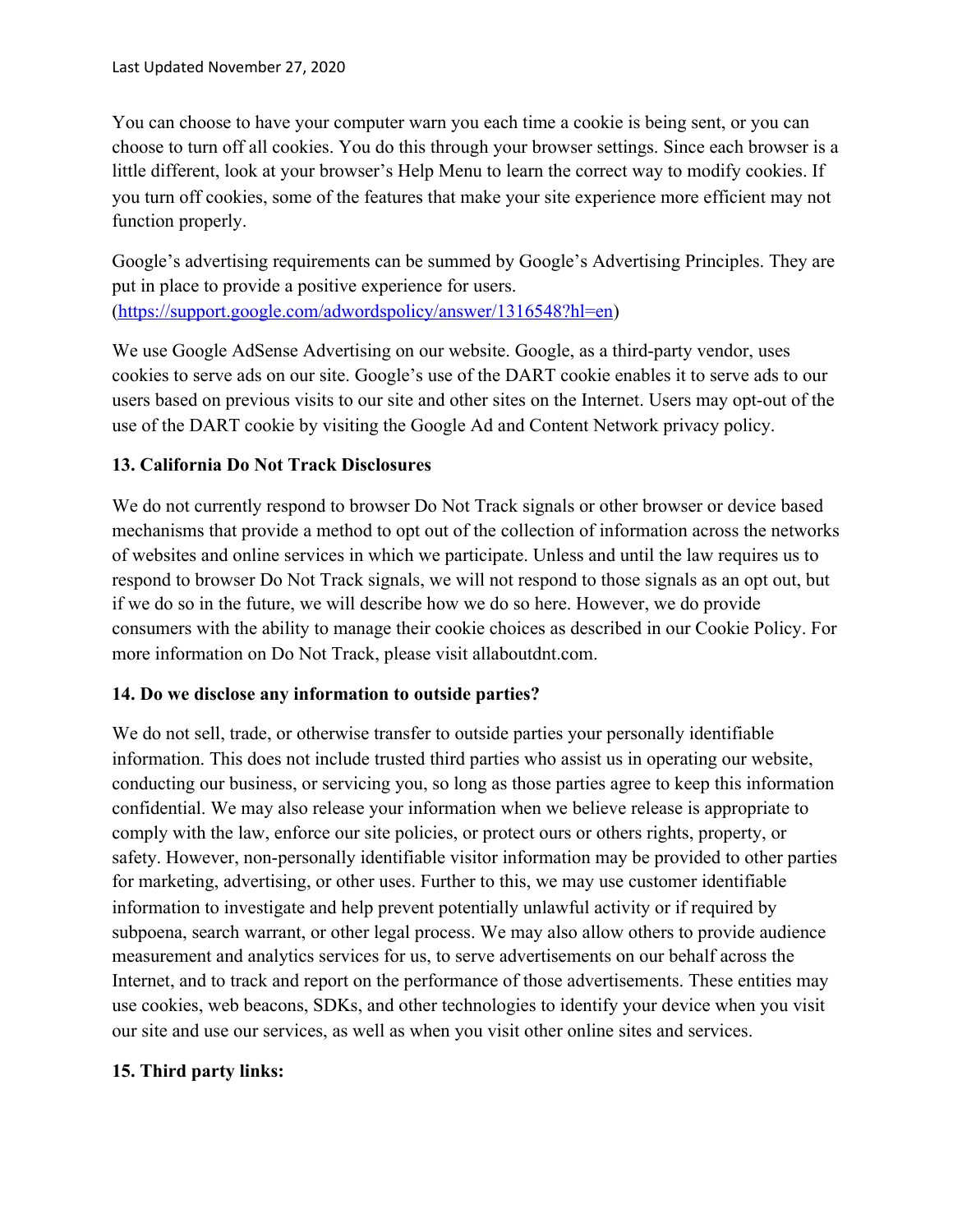You can choose to have your computer warn you each time a cookie is being sent, or you can choose to turn off all cookies. You do this through your browser settings. Since each browser is a little different, look at your browser's Help Menu to learn the correct way to modify cookies. If you turn off cookies, some of the features that make your site experience more efficient may not function properly.

Google's advertising requirements can be summed by Google's Advertising Principles. They are put in place to provide a positive experience for users. (<https://support.google.com/adwordspolicy/answer/1316548?hl=en>)

We use Google AdSense Advertising on our website. Google, as a third-party vendor, uses cookies to serve ads on our site. Google's use of the DART cookie enables it to serve ads to our users based on previous visits to our site and other sites on the Internet. Users may opt-out of the use of the DART cookie by visiting the Google Ad and Content Network privacy policy.

# **13. California Do Not Track Disclosures**

We do not currently respond to browser Do Not Track signals or other browser or device based mechanisms that provide a method to opt out of the collection of information across the networks of websites and online services in which we participate. Unless and until the law requires us to respond to browser Do Not Track signals, we will not respond to those signals as an opt out, but if we do so in the future, we will describe how we do so here. However, we do provide consumers with the ability to manage their cookie choices as described in our Cookie Policy. For more information on Do Not Track, please visit allaboutdnt.com.

# **14. Do we disclose any information to outside parties?**

We do not sell, trade, or otherwise transfer to outside parties your personally identifiable information. This does not include trusted third parties who assist us in operating our website, conducting our business, or servicing you, so long as those parties agree to keep this information confidential. We may also release your information when we believe release is appropriate to comply with the law, enforce our site policies, or protect ours or others rights, property, or safety. However, non-personally identifiable visitor information may be provided to other parties for marketing, advertising, or other uses. Further to this, we may use customer identifiable information to investigate and help prevent potentially unlawful activity or if required by subpoena, search warrant, or other legal process. We may also allow others to provide audience measurement and analytics services for us, to serve advertisements on our behalf across the Internet, and to track and report on the performance of those advertisements. These entities may use cookies, web beacons, SDKs, and other technologies to identify your device when you visit our site and use our services, as well as when you visit other online sites and services.

# **15. Third party links:**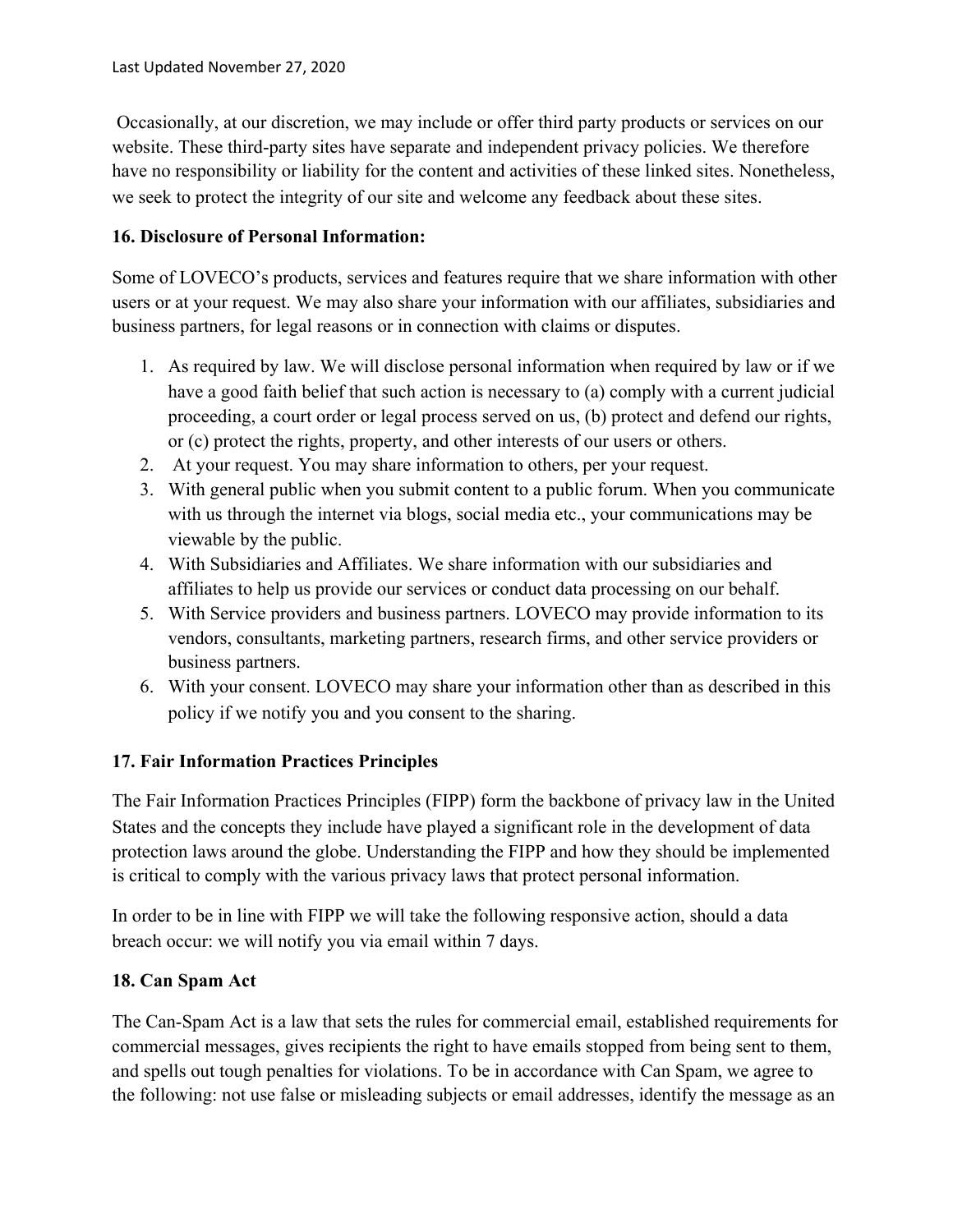Occasionally, at our discretion, we may include or offer third party products or services on our website. These third-party sites have separate and independent privacy policies. We therefore have no responsibility or liability for the content and activities of these linked sites. Nonetheless, we seek to protect the integrity of our site and welcome any feedback about these sites.

## **16. Disclosure of Personal Information:**

Some of LOVECO's products, services and features require that we share information with other users or at your request. We may also share your information with our affiliates, subsidiaries and business partners, for legal reasons or in connection with claims or disputes.

- 1. As required by law. We will disclose personal information when required by law or if we have a good faith belief that such action is necessary to (a) comply with a current judicial proceeding, a court order or legal process served on us, (b) protect and defend our rights, or (c) protect the rights, property, and other interests of our users or others.
- 2. At your request. You may share information to others, per your request.
- 3. With general public when you submit content to a public forum. When you communicate with us through the internet via blogs, social media etc., your communications may be viewable by the public.
- 4. With Subsidiaries and Affiliates. We share information with our subsidiaries and affiliates to help us provide our services or conduct data processing on our behalf.
- 5. With Service providers and business partners. LOVECO may provide information to its vendors, consultants, marketing partners, research firms, and other service providers or business partners.
- 6. With your consent. LOVECO may share your information other than as described in this policy if we notify you and you consent to the sharing.

# **17. Fair Information Practices Principles**

The Fair Information Practices Principles (FIPP) form the backbone of privacy law in the United States and the concepts they include have played a significant role in the development of data protection laws around the globe. Understanding the FIPP and how they should be implemented is critical to comply with the various privacy laws that protect personal information.

In order to be in line with FIPP we will take the following responsive action, should a data breach occur: we will notify you via email within 7 days.

# **18. Can Spam Act**

The Can-Spam Act is a law that sets the rules for commercial email, established requirements for commercial messages, gives recipients the right to have emails stopped from being sent to them, and spells out tough penalties for violations. To be in accordance with Can Spam, we agree to the following: not use false or misleading subjects or email addresses, identify the message as an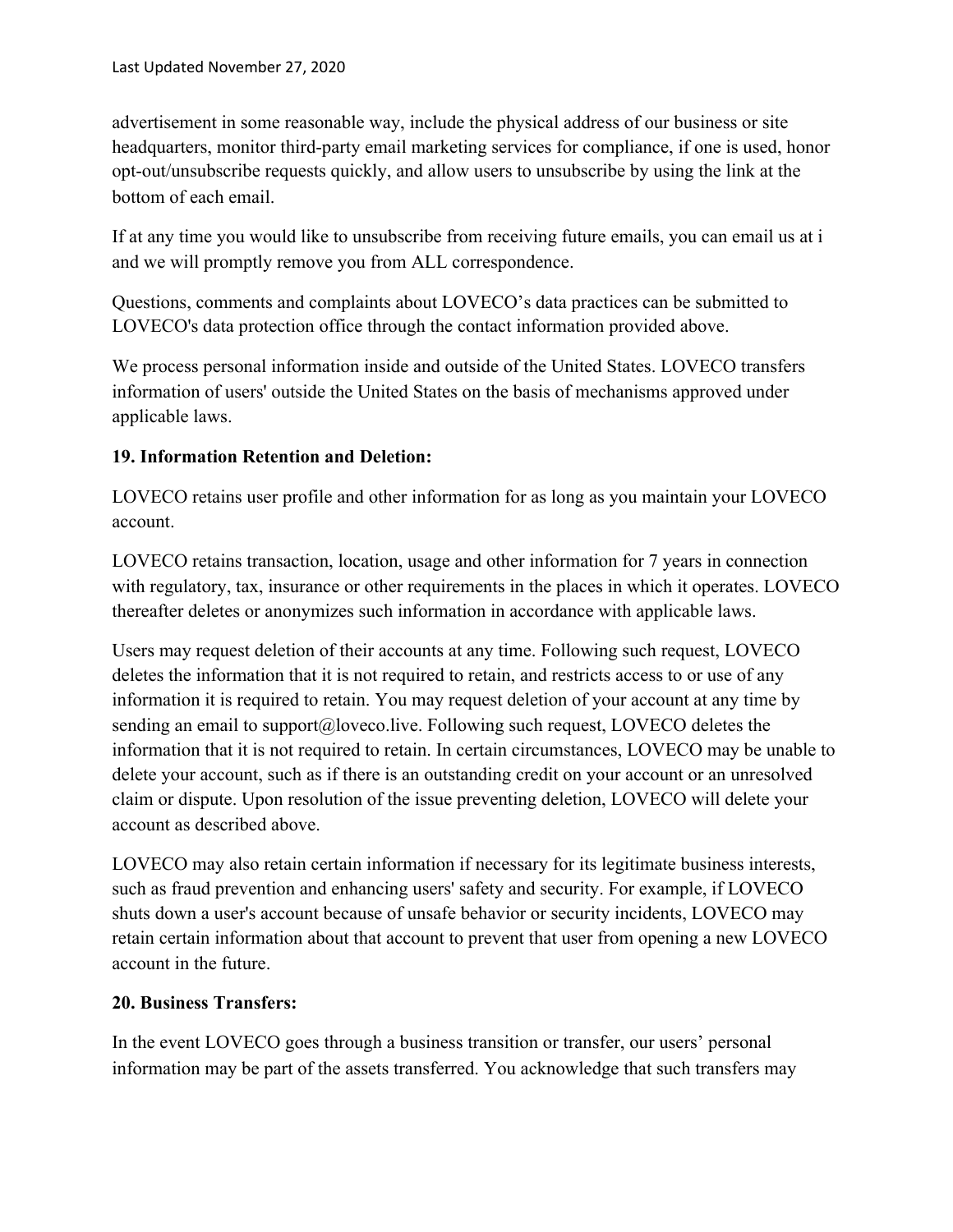advertisement in some reasonable way, include the physical address of our business or site headquarters, monitor third-party email marketing services for compliance, if one is used, honor opt-out/unsubscribe requests quickly, and allow users to unsubscribe by using the link at the bottom of each email.

If at any time you would like to unsubscribe from receiving future emails, you can email us at i and we will promptly remove you from ALL correspondence.

Questions, comments and complaints about LOVECO's data practices can be submitted to LOVECO's data protection office through the contact information provided above.

We process personal information inside and outside of the United States. LOVECO transfers information of users' outside the United States on the basis of mechanisms approved under applicable laws.

# **19. Information Retention and Deletion:**

LOVECO retains user profile and other information for as long as you maintain your LOVECO account.

LOVECO retains transaction, location, usage and other information for 7 years in connection with regulatory, tax, insurance or other requirements in the places in which it operates. LOVECO thereafter deletes or anonymizes such information in accordance with applicable laws.

Users may request deletion of their accounts at any time. Following such request, LOVECO deletes the information that it is not required to retain, and restricts access to or use of any information it is required to retain. You may request deletion of your account at any time by sending an email to support@loveco.live. Following such request, LOVECO deletes the information that it is not required to retain. In certain circumstances, LOVECO may be unable to delete your account, such as if there is an outstanding credit on your account or an unresolved claim or dispute. Upon resolution of the issue preventing deletion, LOVECO will delete your account as described above.

LOVECO may also retain certain information if necessary for its legitimate business interests, such as fraud prevention and enhancing users' safety and security. For example, if LOVECO shuts down a user's account because of unsafe behavior or security incidents, LOVECO may retain certain information about that account to prevent that user from opening a new LOVECO account in the future.

# **20. Business Transfers:**

In the event LOVECO goes through a business transition or transfer, our users' personal information may be part of the assets transferred. You acknowledge that such transfers may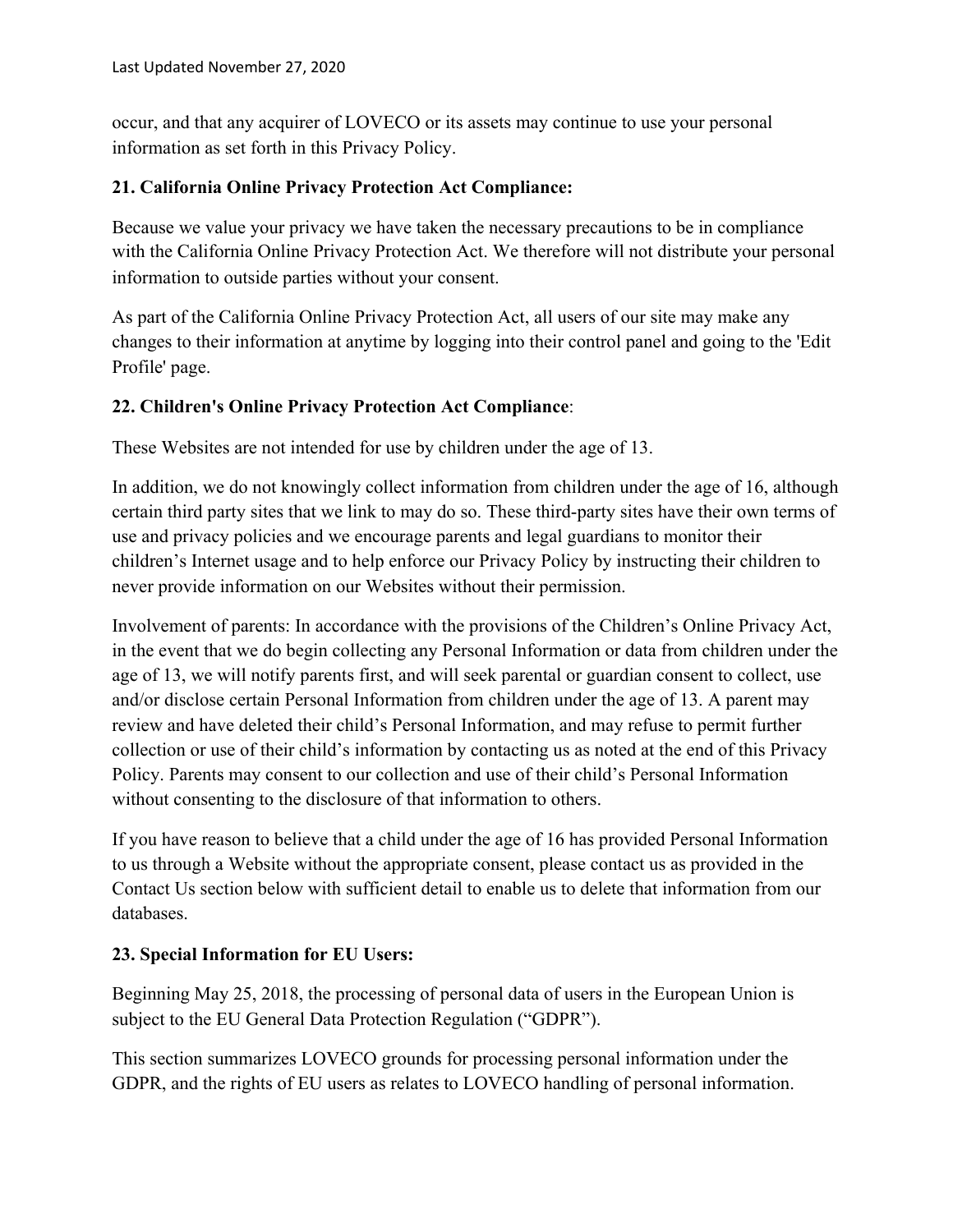occur, and that any acquirer of LOVECO or its assets may continue to use your personal information as set forth in this Privacy Policy.

## **21. California Online Privacy Protection Act Compliance:**

Because we value your privacy we have taken the necessary precautions to be in compliance with the California Online Privacy Protection Act. We therefore will not distribute your personal information to outside parties without your consent.

As part of the California Online Privacy Protection Act, all users of our site may make any changes to their information at anytime by logging into their control panel and going to the 'Edit Profile' page.

## **22. Children's Online Privacy Protection Act Compliance**:

These Websites are not intended for use by children under the age of 13.

In addition, we do not knowingly collect information from children under the age of 16, although certain third party sites that we link to may do so. These third-party sites have their own terms of use and privacy policies and we encourage parents and legal guardians to monitor their children's Internet usage and to help enforce our Privacy Policy by instructing their children to never provide information on our Websites without their permission.

Involvement of parents: In accordance with the provisions of the Children's Online Privacy Act, in the event that we do begin collecting any Personal Information or data from children under the age of 13, we will notify parents first, and will seek parental or guardian consent to collect, use and/or disclose certain Personal Information from children under the age of 13. A parent may review and have deleted their child's Personal Information, and may refuse to permit further collection or use of their child's information by contacting us as noted at the end of this Privacy Policy. Parents may consent to our collection and use of their child's Personal Information without consenting to the disclosure of that information to others.

If you have reason to believe that a child under the age of 16 has provided Personal Information to us through a Website without the appropriate consent, please contact us as provided in the Contact Us section below with sufficient detail to enable us to delete that information from our databases.

# **23. Special Information for EU Users:**

Beginning May 25, 2018, the processing of personal data of users in the European Union is subject to the EU General Data Protection Regulation ("GDPR").

This section summarizes LOVECO grounds for processing personal information under the GDPR, and the rights of EU users as relates to LOVECO handling of personal information.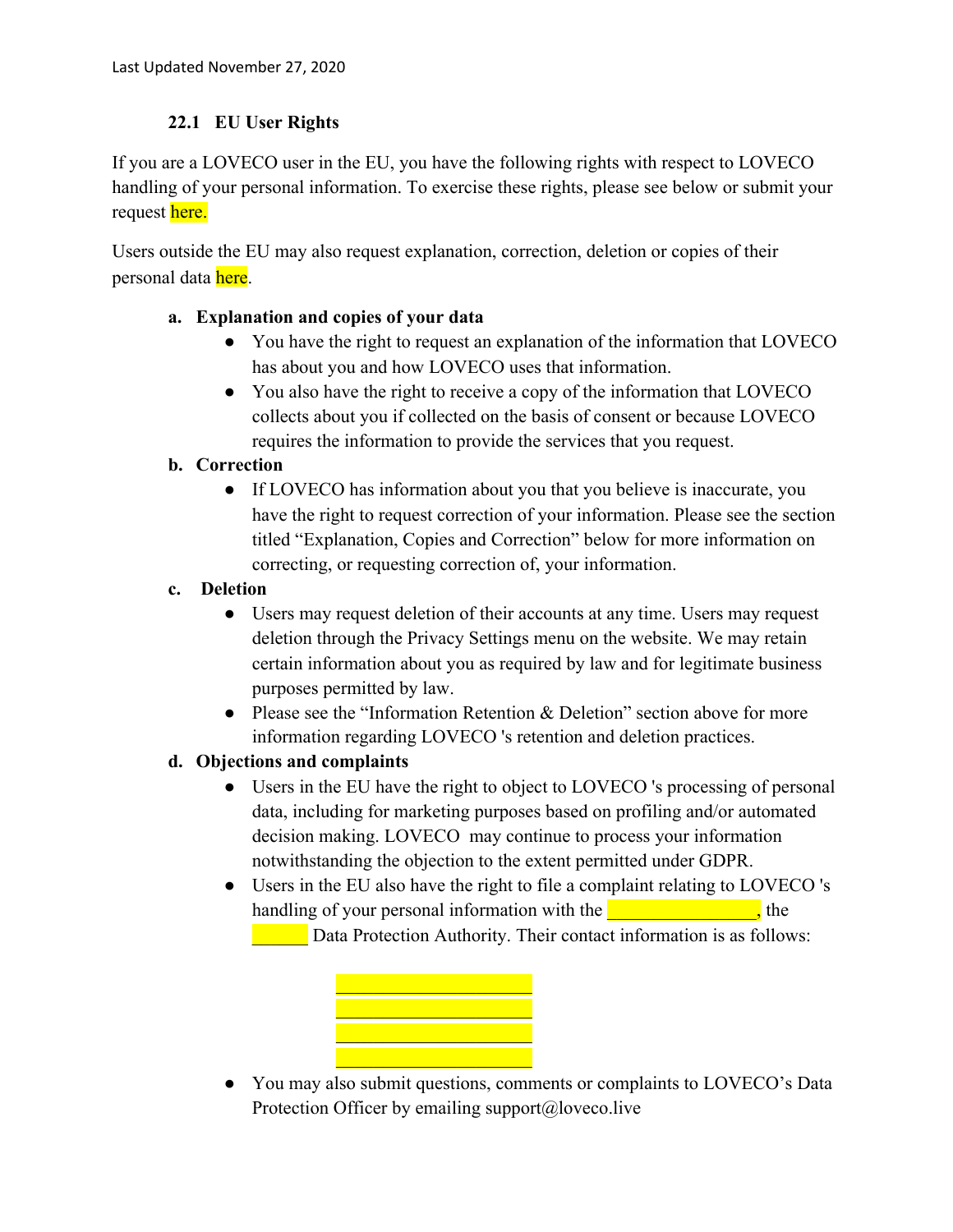# **22.1 EU User Rights**

If you are a LOVECO user in the EU, you have the following rights with respect to LOVECO handling of your personal information. To exercise these rights, please see below or submit your request here.

Users outside the EU may also request explanation, correction, deletion or copies of their personal data here.

## **a. Explanation and copies of your data**

- You have the right to request an explanation of the information that LOVECO has about you and how LOVECO uses that information.
- You also have the right to receive a copy of the information that LOVECO collects about you if collected on the basis of consent or because LOVECO requires the information to provide the services that you request.

## **b. Correction**

● If LOVECO has information about you that you believe is inaccurate, you have the right to request correction of your information. Please see the section titled "Explanation, Copies and Correction" below for more information on correcting, or requesting correction of, your information.

## **c. Deletion**

- Users may request deletion of their accounts at any time. Users may request deletion through the Privacy Settings menu on the website. We may retain certain information about you as required by law and for legitimate business purposes permitted by law.
- Please see the "Information Retention & Deletion" section above for more information regarding LOVECO 's retention and deletion practices.

# **d. Objections and complaints**

- **●** Users in the EU have the right to object to LOVECO 's processing of personal data, including for marketing purposes based on profiling and/or automated decision making. LOVECO may continue to process your information notwithstanding the objection to the extent permitted under GDPR.
- Users in the EU also have the right to file a complaint relating to LOVECO 's handling of your personal information with the **Election Studies**, the **Example 3** Data Protection Authority. Their contact information is as follows:



• You may also submit questions, comments or complaints to LOVECO's Data Protection Officer by emailing support $(a)$ loveco.live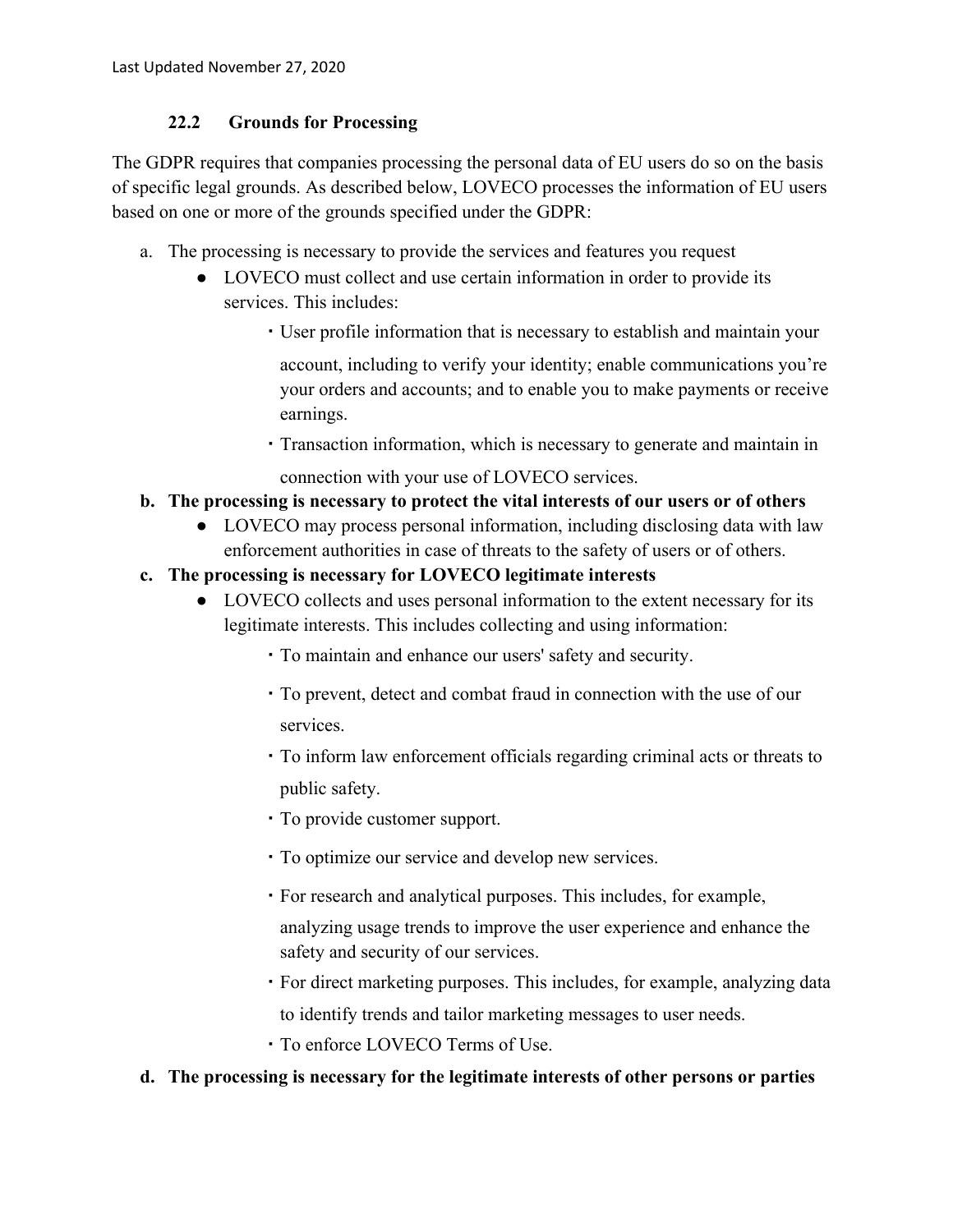# **22.2 Grounds for Processing**

The GDPR requires that companies processing the personal data of EU users do so on the basis of specific legal grounds. As described below, LOVECO processes the information of EU users based on one or more of the grounds specified under the GDPR:

- a. The processing is necessary to provide the services and features you request
	- LOVECO must collect and use certain information in order to provide its services. This includes:
		- User profile information that is necessary to establish and maintain your

account, including to verify your identity; enable communications you're your orders and accounts; and to enable you to make payments or receive earnings.

▪ Transaction information, which is necessary to generate and maintain in connection with your use of LOVECO services.

# **b. The processing is necessary to protect the vital interests of our users or of others**

● LOVECO may process personal information, including disclosing data with law enforcement authorities in case of threats to the safety of users or of others.

## **c. The processing is necessary for LOVECO legitimate interests**

- LOVECO collects and uses personal information to the extent necessary for its legitimate interests. This includes collecting and using information:
	- To maintain and enhance our users' safety and security.
	- To prevent, detect and combat fraud in connection with the use of our services.
	- To inform law enforcement officials regarding criminal acts or threats to public safety.
	- To provide customer support.
	- To optimize our service and develop new services.
	- For research and analytical purposes. This includes, for example,
		- analyzing usage trends to improve the user experience and enhance the safety and security of our services.
	- For direct marketing purposes. This includes, for example, analyzing data to identify trends and tailor marketing messages to user needs.
	- To enforce LOVECO Terms of Use.

### **d. The processing is necessary for the legitimate interests of other persons or parties**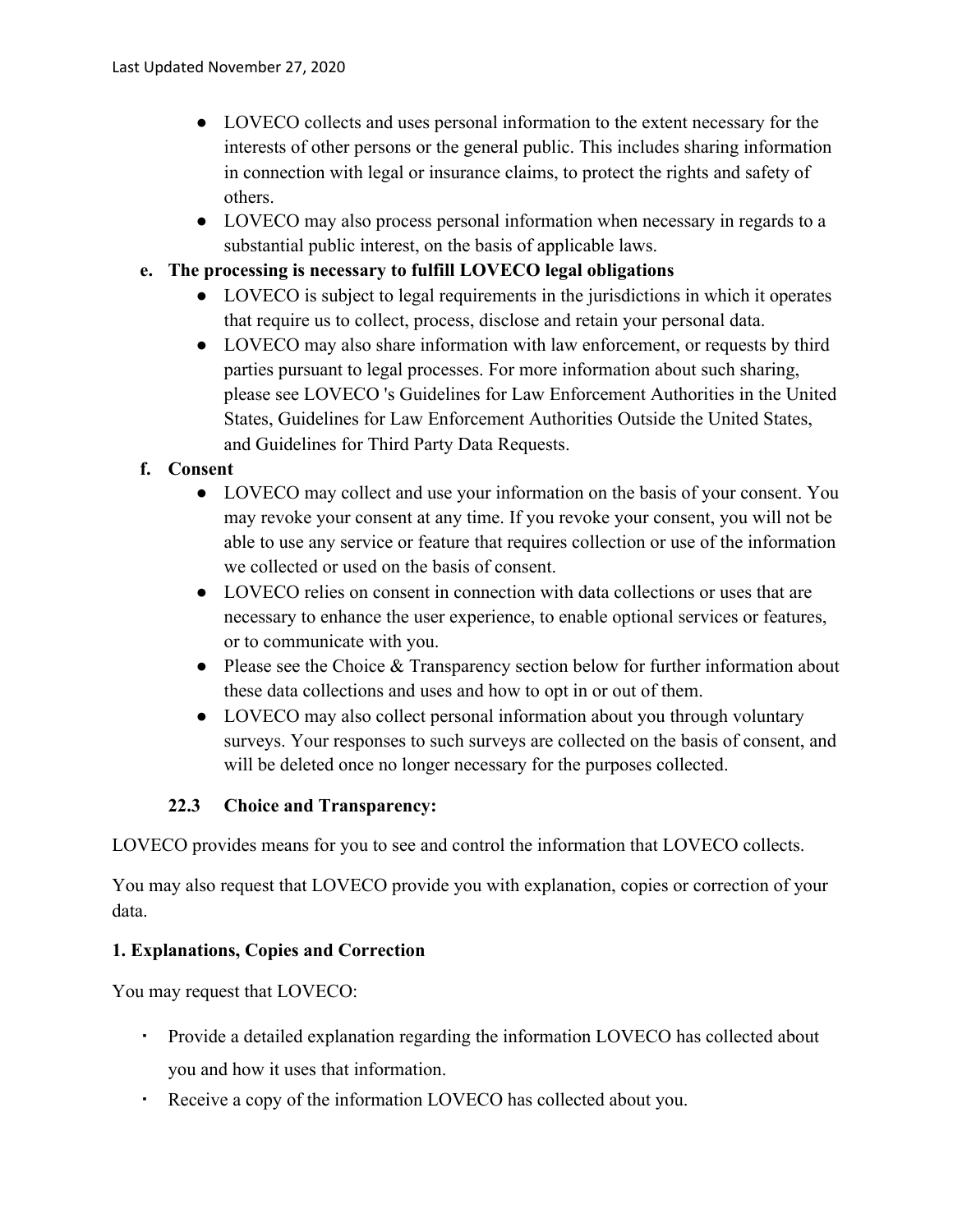- LOVECO collects and uses personal information to the extent necessary for the interests of other persons or the general public. This includes sharing information in connection with legal or insurance claims, to protect the rights and safety of others.
- LOVECO may also process personal information when necessary in regards to a substantial public interest, on the basis of applicable laws.
- **e. The processing is necessary to fulfill LOVECO legal obligations**
	- LOVECO is subject to legal requirements in the jurisdictions in which it operates that require us to collect, process, disclose and retain your personal data.
	- LOVECO may also share information with law enforcement, or requests by third parties pursuant to legal processes. For more information about such sharing, please see LOVECO 's Guidelines for Law Enforcement Authorities in the United States, Guidelines for Law Enforcement Authorities Outside the United States, and Guidelines for Third Party Data Requests.

## **f. Consent**

- LOVECO may collect and use your information on the basis of your consent. You may revoke your consent at any time. If you revoke your consent, you will not be able to use any service or feature that requires collection or use of the information we collected or used on the basis of consent.
- LOVECO relies on consent in connection with data collections or uses that are necessary to enhance the user experience, to enable optional services or features, or to communicate with you.
- Please see the Choice & Transparency section below for further information about these data collections and uses and how to opt in or out of them.
- LOVECO may also collect personal information about you through voluntary surveys. Your responses to such surveys are collected on the basis of consent, and will be deleted once no longer necessary for the purposes collected.

### **22.3 Choice and Transparency:**

LOVECO provides means for you to see and control the information that LOVECO collects.

You may also request that LOVECO provide you with explanation, copies or correction of your data.

### **1. Explanations, Copies and Correction**

You may request that LOVECO:

- Provide a detailed explanation regarding the information LOVECO has collected about you and how it uses that information.
- Receive a copy of the information LOVECO has collected about you.